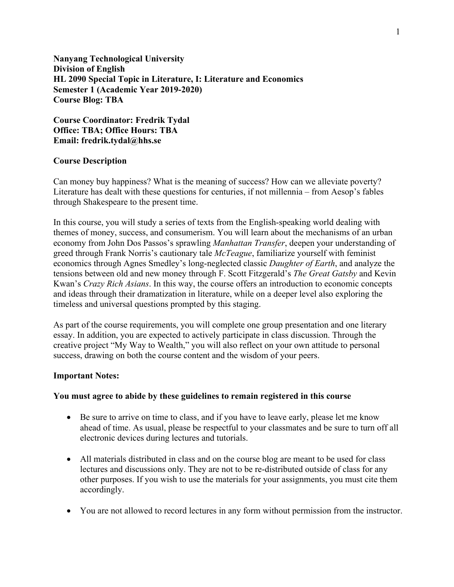**Nanyang Technological University Division of English HL 2090 Special Topic in Literature, I: Literature and Economics Semester 1 (Academic Year 2019-2020) Course Blog: TBA**

**Course Coordinator: Fredrik Tydal Office: TBA; Office Hours: TBA Email: fredrik.tydal@hhs.se**

# **Course Description**

Can money buy happiness? What is the meaning of success? How can we alleviate poverty? Literature has dealt with these questions for centuries, if not millennia – from Aesop's fables through Shakespeare to the present time.

In this course, you will study a series of texts from the English-speaking world dealing with themes of money, success, and consumerism. You will learn about the mechanisms of an urban economy from John Dos Passos's sprawling *Manhattan Transfer*, deepen your understanding of greed through Frank Norris's cautionary tale *McTeague*, familiarize yourself with feminist economics through Agnes Smedley's long-neglected classic *Daughter of Earth*, and analyze the tensions between old and new money through F. Scott Fitzgerald's *The Great Gatsby* and Kevin Kwan's *Crazy Rich Asians*. In this way, the course offers an introduction to economic concepts and ideas through their dramatization in literature, while on a deeper level also exploring the timeless and universal questions prompted by this staging.

As part of the course requirements, you will complete one group presentation and one literary essay. In addition, you are expected to actively participate in class discussion. Through the creative project "My Way to Wealth," you will also reflect on your own attitude to personal success, drawing on both the course content and the wisdom of your peers.

# **Important Notes:**

# **You must agree to abide by these guidelines to remain registered in this course**

- Be sure to arrive on time to class, and if you have to leave early, please let me know ahead of time. As usual, please be respectful to your classmates and be sure to turn off all electronic devices during lectures and tutorials.
- All materials distributed in class and on the course blog are meant to be used for class lectures and discussions only. They are not to be re-distributed outside of class for any other purposes. If you wish to use the materials for your assignments, you must cite them accordingly.
- You are not allowed to record lectures in any form without permission from the instructor.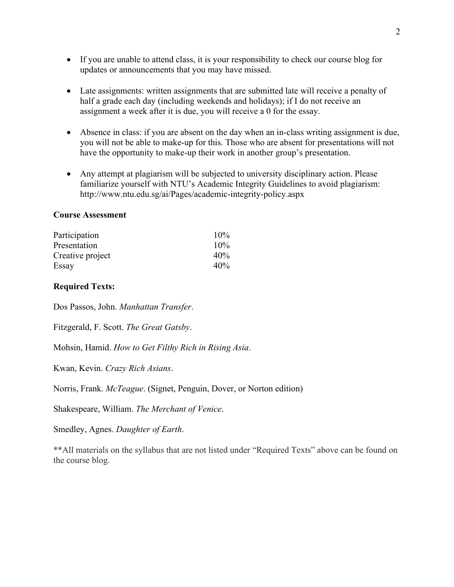- If you are unable to attend class, it is your responsibility to check our course blog for updates or announcements that you may have missed.
- Late assignments: written assignments that are submitted late will receive a penalty of half a grade each day (including weekends and holidays); if I do not receive an assignment a week after it is due, you will receive a 0 for the essay.
- Absence in class: if you are absent on the day when an in-class writing assignment is due, you will not be able to make-up for this. Those who are absent for presentations will not have the opportunity to make-up their work in another group's presentation.
- Any attempt at plagiarism will be subjected to university disciplinary action. Please familiarize yourself with NTU's Academic Integrity Guidelines to avoid plagiarism: http://www.ntu.edu.sg/ai/Pages/academic-integrity-policy.aspx

#### **Course Assessment**

| Participation    | 10% |
|------------------|-----|
| Presentation     | 10% |
| Creative project | 40% |
| Essay            | 40% |

### **Required Texts:**

Dos Passos, John. *Manhattan Transfer*.

Fitzgerald, F. Scott. *The Great Gatsby*.

Mohsin, Hamid. *How to Get Filthy Rich in Rising Asia*.

Kwan, Kevin. *Crazy Rich Asians*.

Norris, Frank. *McTeague*. (Signet, Penguin, Dover, or Norton edition)

Shakespeare, William. *The Merchant of Venice*.

Smedley, Agnes. *Daughter of Earth*.

\*\*All materials on the syllabus that are not listed under "Required Texts" above can be found on the course blog.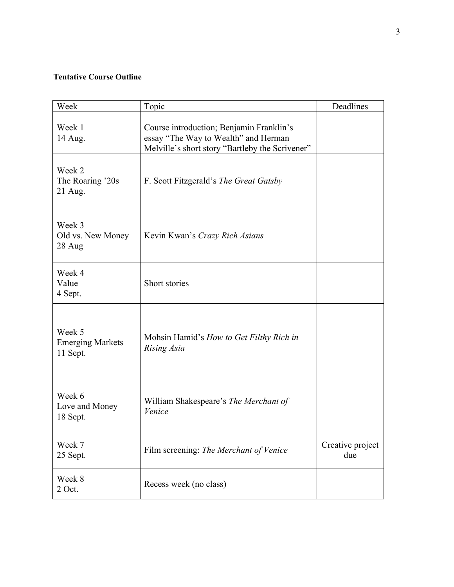# **Tentative Course Outline**

| Week                                          | Topic                                                                                                                               | Deadlines               |
|-----------------------------------------------|-------------------------------------------------------------------------------------------------------------------------------------|-------------------------|
| Week 1<br>14 Aug.                             | Course introduction; Benjamin Franklin's<br>essay "The Way to Wealth" and Herman<br>Melville's short story "Bartleby the Scrivener" |                         |
| Week 2<br>The Roaring '20s<br>21 Aug.         | F. Scott Fitzgerald's <i>The Great Gatsby</i>                                                                                       |                         |
| Week 3<br>Old vs. New Money<br>28 Aug         | Kevin Kwan's Crazy Rich Asians                                                                                                      |                         |
| Week 4<br>Value<br>4 Sept.                    | Short stories                                                                                                                       |                         |
| Week 5<br><b>Emerging Markets</b><br>11 Sept. | Mohsin Hamid's How to Get Filthy Rich in<br>Rising Asia                                                                             |                         |
| Week 6<br>Love and Money<br>18 Sept.          | William Shakespeare's The Merchant of<br>Venice                                                                                     |                         |
| Week 7<br>25 Sept.                            | Film screening: The Merchant of Venice                                                                                              | Creative project<br>due |
| Week 8<br>2 Oct.                              | Recess week (no class)                                                                                                              |                         |